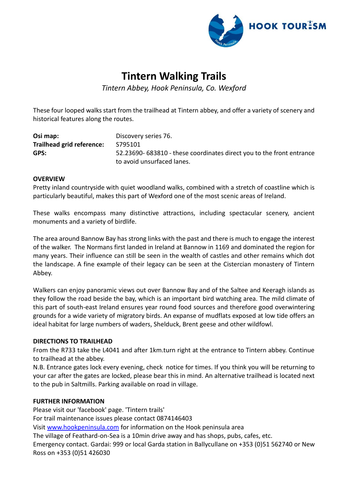

# **Tintern Walking Trails**

*Tintern Abbey, Hook Peninsula, Co. Wexford*

These four looped walks start from the trailhead at Tintern abbey, and offer a variety of scenery and historical features along the routes.

| Osi map:                  | Discovery series 76.                                                 |
|---------------------------|----------------------------------------------------------------------|
| Trailhead grid reference: | S795101                                                              |
| GPS:                      | 52.23690-683810 - these coordinates direct you to the front entrance |
|                           | to avoid unsurfaced lanes.                                           |

## **OVERVIEW**

Pretty inland countryside with quiet woodland walks, combined with a stretch of coastline which is particularly beautiful, makes this part of Wexford one of the most scenic areas of Ireland.

These walks encompass many distinctive attractions, including spectacular scenery, ancient monuments and a variety of birdlife.

The area around Bannow Bay has strong links with the past and there is much to engage the interest of the walker. The Normans first landed in Ireland at Bannow in 1169 and dominated the region for many years. Their influence can still be seen in the wealth of castles and other remains which dot the landscape. A fine example of their legacy can be seen at the Cistercian monastery of Tintern Abbey.

Walkers can enjoy panoramic views out over Bannow Bay and of the Saltee and Keeragh islands as they follow the road beside the bay, which is an important bird watching area. The mild climate of this part of south-east Ireland ensures year round food sources and therefore good overwintering grounds for a wide variety of migratory birds. An expanse of mudflats exposed at low tide offers an ideal habitat for large numbers of waders, Shelduck, Brent geese and other wildfowl.

## **DIRECTIONS TO TRAILHEAD**

From the R733 take the L4041 and after 1km.turn right at the entrance to Tintern abbey. Continue to trailhead at the abbey.

N.B. Entrance gates lock every evening, check notice for times. If you think you will be returning to your car after the gates are locked, please bear this in mind. An alternative trailhead is located next to the pub in Saltmills. Parking available on road in village.

## **FURTHER INFORMATION**

Please visit our 'facebook' page. 'Tintern trails' For trail maintenance issues please contact 0874146403 Visit [www.hookpeninsula.com](http://www.hookpeninsula.com/) for information on the Hook peninsula area The village of Feathard-on-Sea is a 10min drive away and has shops, pubs, cafes, etc. Emergency contact. Gardai: 999 or local Garda station in Ballycullane on +353 (0)51 562740 or New Ross on +353 (0)51 426030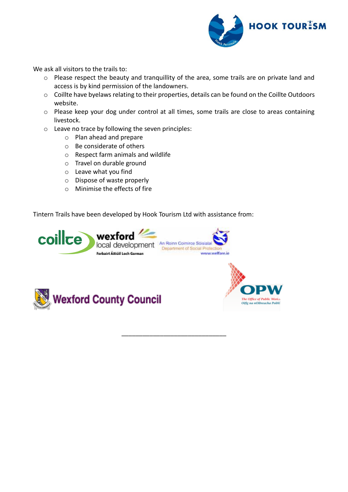

We ask all visitors to the trails to:

- o Please respect the beauty and tranquillity of the area, some trails are on private land and access is by kind permission of the landowners.
- o Coillte have byelaws relating to their properties, details can be found on the Coillte Outdoors website.
- o Please keep your dog under control at all times, some trails are close to areas containing livestock.

\_\_\_\_\_\_\_\_\_\_\_\_\_\_\_\_\_\_\_\_\_\_\_\_\_\_\_\_\_\_

- o Leave no trace by following the seven principles:
	- o Plan ahead and prepare
	- o Be considerate of others
	- o Respect farm animals and wildlife
	- o Travel on durable ground
	- o Leave what you find
	- o Dispose of waste properly
	- o Minimise the effects of fire

Tintern Trails have been developed by Hook Tourism Ltd with assistance from:





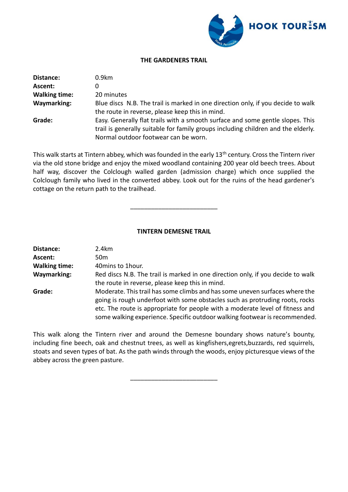

### **THE GARDENERS TRAIL**

| Distance:            | 0.9km                                                                             |
|----------------------|-----------------------------------------------------------------------------------|
| Ascent:              |                                                                                   |
| <b>Walking time:</b> | 20 minutes                                                                        |
| <b>Waymarking:</b>   | Blue discs N.B. The trail is marked in one direction only, if you decide to walk  |
|                      | the route in reverse, please keep this in mind.                                   |
| Grade:               | Easy. Generally flat trails with a smooth surface and some gentle slopes. This    |
|                      | trail is generally suitable for family groups including children and the elderly. |
|                      | Normal outdoor footwear can be worn.                                              |

This walk starts at Tintern abbey, which was founded in the early 13<sup>th</sup> century. Cross the Tintern river via the old stone bridge and enjoy the mixed woodland containing 200 year old beech trees. About half way, discover the Colclough walled garden (admission charge) which once supplied the Colclough family who lived in the converted abbey. Look out for the ruins of the head gardener's cottage on the return path to the trailhead.

**TINTERN DEMESNE TRAIL**

\_\_\_\_\_\_\_\_\_\_\_\_\_\_\_\_\_\_\_\_\_\_\_\_\_

| Distance:            | 2.4km                                                                                                                                                                                                                                                                                                                      |
|----------------------|----------------------------------------------------------------------------------------------------------------------------------------------------------------------------------------------------------------------------------------------------------------------------------------------------------------------------|
| Ascent:              | 50 <sub>m</sub>                                                                                                                                                                                                                                                                                                            |
| <b>Walking time:</b> | 40 mins to 1 hour.                                                                                                                                                                                                                                                                                                         |
| <b>Waymarking:</b>   | Red discs N.B. The trail is marked in one direction only, if you decide to walk<br>the route in reverse, please keep this in mind.                                                                                                                                                                                         |
| Grade:               | Moderate. This trail has some climbs and has some uneven surfaces where the<br>going is rough underfoot with some obstacles such as protruding roots, rocks<br>etc. The route is appropriate for people with a moderate level of fitness and<br>some walking experience. Specific outdoor walking footwear is recommended. |

This walk along the Tintern river and around the Demesne boundary shows nature's bounty, including fine beech, oak and chestnut trees, as well as kingfishers,egrets,buzzards, red squirrels, stoats and seven types of bat. As the path winds through the woods, enjoy picturesque views of the abbey across the green pasture.

\_\_\_\_\_\_\_\_\_\_\_\_\_\_\_\_\_\_\_\_\_\_\_\_\_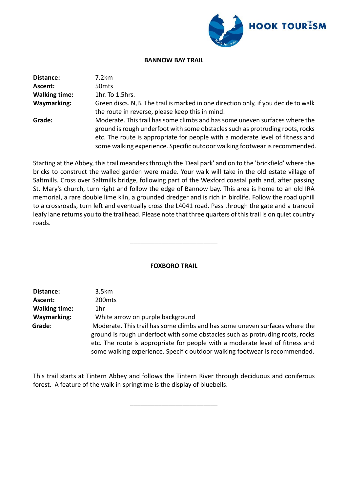

#### **BANNOW BAY TRAIL**

| Distance:            | 7.2km                                                                                                                                                                                                                                                                                                                       |
|----------------------|-----------------------------------------------------------------------------------------------------------------------------------------------------------------------------------------------------------------------------------------------------------------------------------------------------------------------------|
| Ascent:              | 50 <sub>mts</sub>                                                                                                                                                                                                                                                                                                           |
| <b>Walking time:</b> | 1hr. To 1.5hrs.                                                                                                                                                                                                                                                                                                             |
| <b>Waymarking:</b>   | Green discs. N, B. The trail is marked in one direction only, if you decide to walk<br>the route in reverse, please keep this in mind.                                                                                                                                                                                      |
| Grade:               | Moderate. This trail has some climbs and has some uneven surfaces where the<br>ground is rough underfoot with some obstacles such as protruding roots, rocks<br>etc. The route is appropriate for people with a moderate level of fitness and<br>some walking experience. Specific outdoor walking footwear is recommended. |

Starting at the Abbey, this trail meanders through the 'Deal park' and on to the 'brickfield' where the bricks to construct the walled garden were made. Your walk will take in the old estate village of Saltmills. Cross over Saltmills bridge, following part of the Wexford coastal path and, after passing St. Mary's church, turn right and follow the edge of Bannow bay. This area is home to an old IRA memorial, a rare double lime kiln, a grounded dredger and is rich in birdlife. Follow the road uphill to a crossroads, turn left and eventually cross the L4041 road. Pass through the gate and a tranquil leafy lane returns you to the trailhead. Please note that three quarters of this trail is on quiet country roads.

## **FOXBORO TRAIL**

\_\_\_\_\_\_\_\_\_\_\_\_\_\_\_\_\_\_\_\_\_\_\_\_\_

| Distance:            | 3.5km                                                                         |
|----------------------|-------------------------------------------------------------------------------|
| Ascent:              | 200 <sub>mts</sub>                                                            |
| <b>Walking time:</b> | 1hr                                                                           |
| <b>Waymarking:</b>   | White arrow on purple background                                              |
| Grade:               | Moderate. This trail has some climbs and has some uneven surfaces where the   |
|                      | ground is rough underfoot with some obstacles such as protruding roots, rocks |
|                      | etc. The route is appropriate for people with a moderate level of fitness and |
|                      | some walking experience. Specific outdoor walking footwear is recommended.    |

This trail starts at Tintern Abbey and follows the Tintern River through deciduous and coniferous forest. A feature of the walk in springtime is the display of bluebells.

\_\_\_\_\_\_\_\_\_\_\_\_\_\_\_\_\_\_\_\_\_\_\_\_\_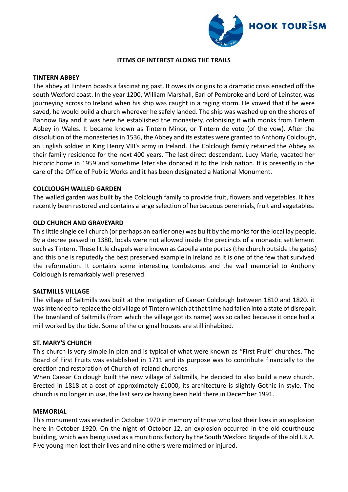

#### **ITEMS OF INTEREST ALONG THE TRAILS**

#### **TINTERN ABBEY**

The abbey at Tintern boasts a fascinating past. It owes its origins to a dramatic crisis enacted off the south Wexford coast. In the year 1200, William Marshall, Earl of Pembroke and Lord of Leinster, was journeying across to Ireland when his ship was caught in a raging storm. He vowed that if he were saved, he would build a church wherever he safely landed. The ship was washed up on the shores of Bannow Bay and it was here he established the monastery, colonising it with monks from Tintern Abbey in Wales. It became known as Tintern Minor, or Tintern de voto (of the vow). After the dissolution of the monasteries in 1536, the Abbey and its estates were granted to Anthony Colclough, an English soldier in King Henry VIII's army in Ireland. The Colclough family retained the Abbey as their family residence for the next 400 years. The last direct descendant, Lucy Marie, vacated her historic home in 1959 and sometime later she donated it to the Irish nation. It is presently in the care of the Office of Public Works and it has been designated a National Monument.

#### **COLCLOUGH WALLED GARDEN**

The walled garden was built by the Colclough family to provide fruit, flowers and vegetables. It has recently been restored and contains a large selection of herbaceous perennials, fruit and vegetables.

#### **OLD CHURCH AND GRAVEYARD**

This little single cell church (or perhaps an earlier one) was built by the monks for the local lay people. By a decree passed in 1380, locals were not allowed inside the precincts of a monastic settlement such as Tintern. These little chapels were known as Capella ante portas (the church outside the gates) and this one is reputedly the best preserved example in Ireland as it is one of the few that survived the reformation. It contains some interesting tombstones and the wall memorial to Anthony Colclough is remarkably well preserved.

#### **SALTMILLS VILLAGE**

The village of Saltmills was built at the instigation of Caesar Colclough between 1810 and 1820. it was intended to replace the old village of Tintern which at that time had fallen into a state of disrepair. The townland of Saltmills (from which the village got its name) was so called because it once had a mill worked by the tide. Some of the original houses are still inhabited.

#### **ST. MARY'S CHURCH**

This church is very simple in plan and is typical of what were known as "First Fruit" churches. The Board of First Fruits was established in 1711 and its purpose was to contribute financially to the erection and restoration of Church of Ireland churches.

When Caesar Colclough built the new village of Saltmills, he decided to also build a new church. Erected in 1818 at a cost of approximately £1000, its architecture is slightly Gothic in style. The church is no longer in use, the last service having been held there in December 1991.

#### **MEMORIAL**

This monument was erected in October 1970 in memory of those who lost their lives in an explosion here in October 1920. On the night of October 12, an explosion occurred in the old courthouse building, which was being used as a munitions factory by the South Wexford Brigade of the old I.R.A. Five young men lost their lives and nine others were maimed or injured.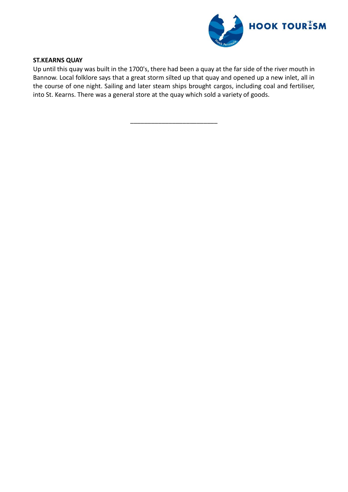

## **ST.KEARNS QUAY**

Up until this quay was built in the 1700's, there had been a quay at the far side of the river mouth in Bannow. Local folklore says that a great storm silted up that quay and opened up a new inlet, all in the course of one night. Sailing and later steam ships brought cargos, including coal and fertiliser, into St. Kearns. There was a general store at the quay which sold a variety of goods.

\_\_\_\_\_\_\_\_\_\_\_\_\_\_\_\_\_\_\_\_\_\_\_\_\_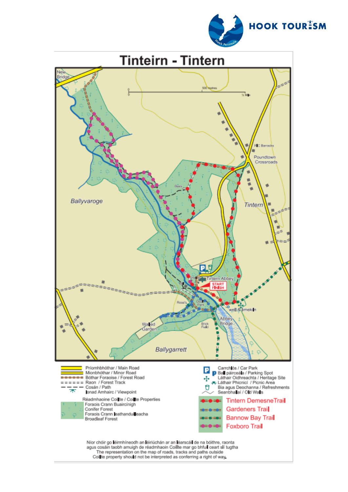